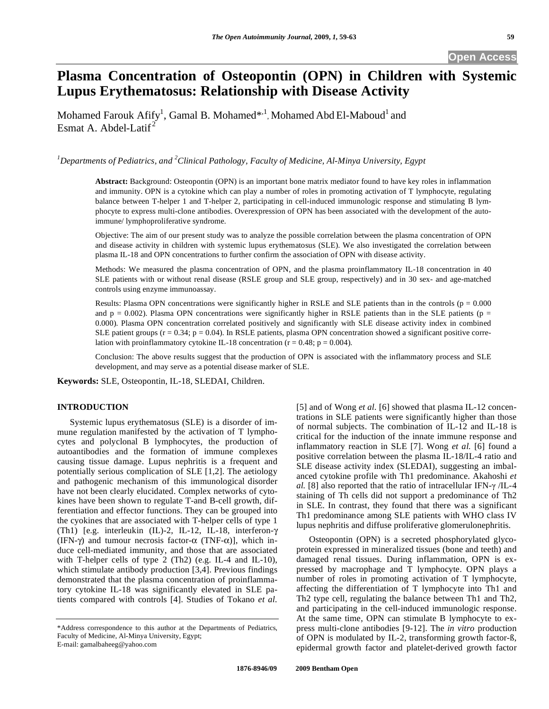# **Plasma Concentration of Osteopontin (OPN) in Children with Systemic Lupus Erythematosus: Relationship with Disease Activity**

Mohamed Farouk Afify<sup>1</sup>, Gamal B. Mohamed\*,<sup>1</sup>, Mohamed Abd El-Maboud<sup>1</sup> and Esmat A. Abdel-Latif<sup>2</sup>

*1 Departments of Pediatrics, and 2 Clinical Pathology, Faculty of Medicine, Al-Minya University, Egypt*

**Abstract:** Background: Osteopontin (OPN) is an important bone matrix mediator found to have key roles in inflammation and immunity. OPN is a cytokine which can play a number of roles in promoting activation of T lymphocyte, regulating balance between T-helper 1 and T-helper 2, participating in cell-induced immunologic response and stimulating B lymphocyte to express multi-clone antibodies. Overexpression of OPN has been associated with the development of the autoimmune/ lymphoproliferative syndrome.

Objective: The aim of our present study was to analyze the possible correlation between the plasma concentration of OPN and disease activity in children with systemic lupus erythematosus (SLE). We also investigated the correlation between plasma IL-18 and OPN concentrations to further confirm the association of OPN with disease activity.

Methods: We measured the plasma concentration of OPN, and the plasma proinflammatory IL-18 concentration in 40 SLE patients with or without renal disease (RSLE group and SLE group, respectively) and in 30 sex- and age-matched controls using enzyme immunoassay.

Results: Plasma OPN concentrations were significantly higher in RSLE and SLE patients than in the controls ( $p = 0.000$ ) and  $p = 0.002$ ). Plasma OPN concentrations were significantly higher in RSLE patients than in the SLE patients ( $p =$ 0.000). Plasma OPN concentration correlated positively and significantly with SLE disease activity index in combined SLE patient groups  $(r = 0.34; p = 0.04)$ . In RSLE patients, plasma OPN concentration showed a significant positive correlation with proinflammatory cytokine IL-18 concentration ( $r = 0.48$ ;  $p = 0.004$ ).

Conclusion: The above results suggest that the production of OPN is associated with the inflammatory process and SLE development, and may serve as a potential disease marker of SLE.

**Keywords:** SLE, Osteopontin, IL-18, SLEDAI, Children.

## **INTRODUCTION**

 Systemic lupus erythematosus (SLE) is a disorder of immune regulation manifested by the activation of T lymphocytes and polyclonal B lymphocytes, the production of autoantibodies and the formation of immune complexes causing tissue damage. Lupus nephritis is a frequent and potentially serious complication of SLE [1,2]. The aetiology and pathogenic mechanism of this immunological disorder have not been clearly elucidated. Complex networks of cytokines have been shown to regulate T-and B-cell growth, differentiation and effector functions. They can be grouped into the cyokines that are associated with T-helper cells of type 1 (Th1) [e.g. interleukin (IL)-2, IL-12, IL-18, interferon- $\gamma$ (IFN- $\gamma$ ) and tumour necrosis factor- $\alpha$  (TNF- $\alpha$ )], which induce cell-mediated immunity, and those that are associated with T-helper cells of type 2 (Th2) (e.g. IL-4 and IL-10), which stimulate antibody production [3,4]. Previous findings demonstrated that the plasma concentration of proinflammatory cytokine IL-18 was significantly elevated in SLE patients compared with controls [4]. Studies of Tokano *et al.* 

E-mail: gamalbaheeg@yahoo.com

[5] and of Wong *et al.* [6] showed that plasma IL-12 concentrations in SLE patients were significantly higher than those of normal subjects. The combination of IL-12 and IL-18 is critical for the induction of the innate immune response and inflammatory reaction in SLE [7]. Wong *et al.* [6] found a positive correlation between the plasma IL-18/IL-4 ratio and SLE disease activity index (SLEDAI), suggesting an imbalanced cytokine profile with Th1 predominance. Akahoshi *et al.* [8] also reported that the ratio of intracellular IFN- $\gamma$  /IL-4 staining of Th cells did not support a predominance of Th2 in SLE. In contrast, they found that there was a significant Th1 predominance among SLE patients with WHO class IV lupus nephritis and diffuse proliferative glomerulonephritis.

 Osteopontin (OPN) is a secreted phosphorylated glycoprotein expressed in mineralized tissues (bone and teeth) and damaged renal tissues. During inflammation, OPN is expressed by macrophage and T lymphocyte. OPN plays a number of roles in promoting activation of T lymphocyte, affecting the differentiation of T lymphocyte into Th1 and Th2 type cell, regulating the balance between Th1 and Th2, and participating in the cell-induced immunologic response. At the same time, OPN can stimulate B lymphocyte to express multi-clone antibodies [9-12]. The *in vitro* production of OPN is modulated by IL-2, transforming growth factor-ß, epidermal growth factor and platelet-derived growth factor

<sup>\*</sup>Address correspondence to this author at the Departments of Pediatrics, Faculty of Medicine, Al-Minya University, Egypt;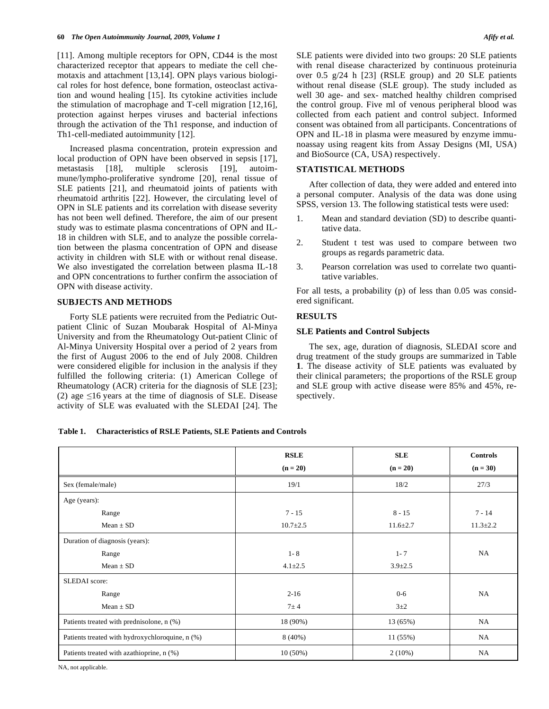[11]. Among multiple receptors for OPN, CD44 is the most characterized receptor that appears to mediate the cell chemotaxis and attachment [13,14]. OPN plays various biological roles for host defence, bone formation, osteoclast activation and wound healing [15]. Its cytokine activities include the stimulation of macrophage and T-cell migration [12,16], protection against herpes viruses and bacterial infections through the activation of the Th1 response, and induction of Th1-cell-mediated autoimmunity [12].

 Increased plasma concentration, protein expression and local production of OPN have been observed in sepsis [17], metastasis [18], multiple sclerosis [19], autoimmune/lympho-proliferative syndrome [20], renal tissue of SLE patients [21], and rheumatoid joints of patients with rheumatoid arthritis [22]. However, the circulating level of OPN in SLE patients and its correlation with disease severity has not been well defined. Therefore, the aim of our present study was to estimate plasma concentrations of OPN and IL-18 in children with SLE, and to analyze the possible correlation between the plasma concentration of OPN and disease activity in children with SLE with or without renal disease. We also investigated the correlation between plasma IL-18 and OPN concentrations to further confirm the association of OPN with disease activity.

#### **SUBJECTS AND METHODS**

 Forty SLE patients were recruited from the Pediatric Outpatient Clinic of Suzan Moubarak Hospital of Al-Minya University and from the Rheumatology Out-patient Clinic of Al-Minya University Hospital over a period of 2 years from the first of August 2006 to the end of July 2008. Children were considered eligible for inclusion in the analysis if they fulfilled the following criteria: (1) American College of Rheumatology (ACR) criteria for the diagnosis of SLE [23]; (2) age  $\leq 16$  years at the time of diagnosis of SLE. Disease activity of SLE was evaluated with the SLEDAI [24]. The SLE patients were divided into two groups: 20 SLE patients with renal disease characterized by continuous proteinuria over 0.5 g/24 h [23] (RSLE group) and 20 SLE patients without renal disease (SLE group). The study included as well 30 age- and sex- matched healthy children comprised the control group. Five ml of venous peripheral blood was collected from each patient and control subject. Informed consent was obtained from all participants. Concentrations of OPN and IL-18 in plasma were measured by enzyme immunoassay using reagent kits from Assay Designs (MI, USA) and BioSource (CA, USA) respectively.

## **STATISTICAL METHODS**

 After collection of data, they were added and entered into a personal computer. Analysis of the data was done using SPSS, version 13. The following statistical tests were used:

- 1. Mean and standard deviation (SD) to describe quantitative data.
- 2. Student t test was used to compare between two groups as regards parametric data.
- 3. Pearson correlation was used to correlate two quantitative variables.

For all tests, a probability (p) of less than 0.05 was considered significant.

## **RESULTS**

## **SLE Patients and Control Subjects**

 The sex, age, duration of diagnosis, SLEDAI score and drug treatment of the study groups are summarized in Table **1**. The disease activity of SLE patients was evaluated by their clinical parameters; the proportions of the RSLE group and SLE group with active disease were 85% and 45%, respectively.

## **Table 1. Characteristics of RSLE Patients, SLE Patients and Controls**

|                                                 | <b>RSLE</b>    | <b>SLE</b>     | <b>Controls</b> |
|-------------------------------------------------|----------------|----------------|-----------------|
|                                                 | $(n = 20)$     | $(n = 20)$     | $(n = 30)$      |
| Sex (female/male)                               | 19/1           | 18/2           | 27/3            |
| Age (years):                                    |                |                |                 |
| Range                                           | $7 - 15$       | $8 - 15$       | $7 - 14$        |
| $Mean \pm SD$                                   | $10.7 \pm 2.5$ | $11.6 \pm 2.7$ | $11.3 \pm 2.2$  |
| Duration of diagnosis (years):                  |                |                |                 |
| Range                                           | $1 - 8$        | $1 - 7$        | NA              |
| Mean $\pm$ SD                                   | $4.1 \pm 2.5$  | $3.9 \pm 2.5$  |                 |
| <b>SLEDAI</b> score:                            |                |                |                 |
| Range                                           | $2 - 16$       | $0-6$          | NA              |
| Mean $\pm$ SD                                   | $7\pm4$        | $3+2$          |                 |
| Patients treated with prednisolone, n (%)       | 18 (90%)       | 13 (65%)       | NA              |
| Patients treated with hydroxychloroquine, n (%) | 8(40%)         | 11 (55%)       | NA              |
| Patients treated with azathioprine, n (%)       | $10(50\%)$     | 2(10%)         | NA              |

NA, not applicable.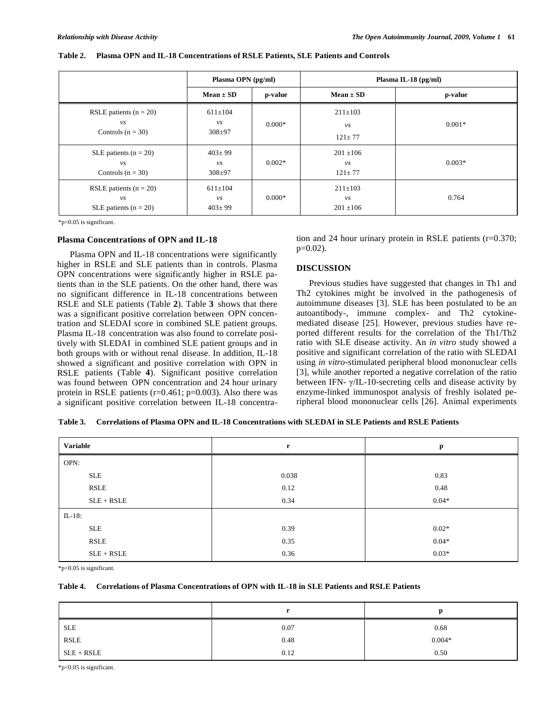|                                                            | Plasma OPN (pg/ml)                       |          | Plasma IL-18 $(pg/ml)$                    |          |
|------------------------------------------------------------|------------------------------------------|----------|-------------------------------------------|----------|
|                                                            | $Mean \pm SD$                            | p-value  | $Mean \pm SD$                             | p-value  |
| RSLE patients $(n = 20)$<br>$\nu s$<br>Controls $(n = 30)$ | $611 \pm 104$<br>$\nu s$<br>$308 + 97$   | $0.000*$ | $211 \pm 103$<br>$\nu s$<br>$121 \pm 77$  | $0.001*$ |
| SLE patients $(n = 20)$<br>vs<br>Controls $(n = 30)$       | $403 \pm 99$<br>$\nu s$<br>$308 + 97$    | $0.002*$ | $201 \pm 106$<br>$\nu s$<br>$121 \pm 77$  | $0.003*$ |
| RSLE patients $(n = 20)$<br>νs<br>SLE patients $(n = 20)$  | $611 \pm 104$<br>$\nu s$<br>$403 \pm 99$ | $0.000*$ | $211 \pm 103$<br>$\nu s$<br>$201 \pm 106$ | 0.764    |

#### **Table 2. Plasma OPN and IL-18 Concentrations of RSLE Patients, SLE Patients and Controls**

\*p<0.05 is significant.

#### **Plasma Concentrations of OPN and IL-18**

 Plasma OPN and IL-18 concentrations were significantly higher in RSLE and SLE patients than in controls. Plasma OPN concentrations were significantly higher in RSLE patients than in the SLE patients. On the other hand, there was no significant difference in IL-18 concentrations between RSLE and SLE patients (Table **2**). Table **3** shows that there was a significant positive correlation between OPN concentration and SLEDAI score in combined SLE patient groups. Plasma IL-18 concentration was also found to correlate positively with SLEDAI in combined SLE patient groups and in both groups with or without renal disease. In addition, IL-18 showed a significant and positive correlation with OPN in RSLE patients (Table **4**). Significant positive correlation was found between OPN concentration and 24 hour urinary protein in RSLE patients (r=0.461; p=0.003). Also there was a significant positive correlation between IL-18 concentration and 24 hour urinary protein in RSLE patients (r=0.370;  $p=0.02$ ).

## **DISCUSSION**

 Previous studies have suggested that changes in Th1 and Th2 cytokines might be involved in the pathogenesis of autoimmune diseases [3]. SLE has been postulated to be an autoantibody-, immune complex- and Th2 cytokinemediated disease [25]. However, previous studies have reported different results for the correlation of the Th1/Th2 ratio with SLE disease activity. An *in vitro* study showed a positive and significant correlation of the ratio with SLEDAI using *in vitro*-stimulated peripheral blood mononuclear cells [3], while another reported a negative correlation of the ratio between IFN- $\gamma$ /IL-10-secreting cells and disease activity by enzyme-linked immunospot analysis of freshly isolated peripheral blood mononuclear cells [26]. Animal experiments

| Table 3. Correlations of Plasma OPN and IL-18 Concentrations with SLEDAI in SLE Patients and RSLE Patients |  |  |  |  |  |
|------------------------------------------------------------------------------------------------------------|--|--|--|--|--|
|------------------------------------------------------------------------------------------------------------|--|--|--|--|--|

| Variable     | $\mathbf{r}$ | p       |
|--------------|--------------|---------|
| OPN:         |              |         |
| <b>SLE</b>   | 0.038        | 0.83    |
| <b>RSLE</b>  | 0.12         | 0.48    |
| $SLE + RSLE$ | 0.34         | $0.04*$ |
| $IL-18$ :    |              |         |
| <b>SLE</b>   | 0.39         | $0.02*$ |
| RSLE         | 0.35         | $0.04*$ |
| $SLE + RSLE$ | 0.36         | $0.03*$ |

\*p<0.05 is significant.

## **Table 4. Correlations of Plasma Concentrations of OPN with IL-18 in SLE Patients and RSLE Patients**

| <b>SLE</b>   | 0.07 | 0.68     |
|--------------|------|----------|
| <b>RSLE</b>  | 0.48 | $0.004*$ |
| $SLE + RSLE$ | 0.12 | 0.50     |

\*p<0.05 is significant.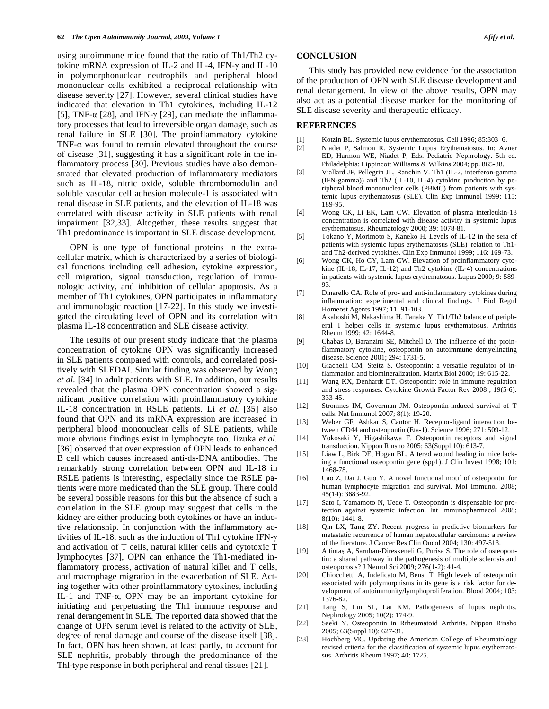using autoimmune mice found that the ratio of Th1/Th2 cytokine mRNA expression of IL-2 and IL-4, IFN- $\gamma$  and IL-10 in polymorphonuclear neutrophils and peripheral blood mononuclear cells exhibited a reciprocal relationship with disease severity [27]. However, several clinical studies have indicated that elevation in Th1 cytokines, including IL-12 [5], TNF- $\alpha$  [28], and IFN- $\gamma$  [29], can mediate the inflammatory processes that lead to irreversible organ damage, such as renal failure in SLE [30]. The proinflammatory cytokine TNF- $\alpha$  was found to remain elevated throughout the course of disease [31], suggesting it has a significant role in the inflammatory process [30]. Previous studies have also demonstrated that elevated production of inflammatory mediators such as IL-18, nitric oxide, soluble thrombomodulin and soluble vascular cell adhesion molecule-1 is associated with renal disease in SLE patients, and the elevation of IL-18 was correlated with disease activity in SLE patients with renal impairment [32,33]. Altogether, these results suggest that Th1 predominance is important in SLE disease development.

 OPN is one type of functional proteins in the extracellular matrix, which is characterized by a series of biological functions including cell adhesion, cytokine expression, cell migration, signal transduction, regulation of immunologic activity, and inhibition of cellular apoptosis. As a member of Th1 cytokines, OPN participates in inflammatory and immunologic reaction [17-22]. In this study we investigated the circulating level of OPN and its correlation with plasma IL-18 concentration and SLE disease activity.

 The results of our present study indicate that the plasma concentration of cytokine OPN was significantly increased in SLE patients compared with controls, and correlated positively with SLEDAI. Similar finding was observed by Wong *et al.* [34] in adult patients with SLE. In addition, our results revealed that the plasma OPN concentration showed a significant positive correlation with proinflammatory cytokine IL-18 concentration in RSLE patients. Li *et al.* [35] also found that OPN and its mRNA expression are increased in peripheral blood mononuclear cells of SLE patients, while more obvious findings exist in lymphocyte too. Iizuka *et al.* [36] observed that over expression of OPN leads to enhanced B cell which causes increased anti-ds-DNA antibodies. The remarkably strong correlation between OPN and IL-18 in RSLE patients is interesting, especially since the RSLE patients were more medicated than the SLE group. There could be several possible reasons for this but the absence of such a correlation in the SLE group may suggest that cells in the kidney are either producing both cytokines or have an inductive relationship. In conjunction with the inflammatory activities of IL-18, such as the induction of Th1 cytokine IFN and activation of T cells, natural killer cells and cytotoxic T lymphocytes [37], OPN can enhance the Th1-mediated inflammatory process, activation of natural killer and T cells, and macrophage migration in the exacerbation of SLE. Acting together with other proinflammatory cytokines, including IL-1 and TNF- $\alpha$ , OPN may be an important cytokine for initiating and perpetuating the Th1 immune response and renal derangement in SLE. The reported data showed that the change of OPN serum level is related to the activity of SLE, degree of renal damage and course of the disease itself [38]. In fact, OPN has been shown, at least partly, to account for SLE nephritis, probably through the predominance of the Thl-type response in both peripheral and renal tissues [21].

## **CONCLUSION**

 This study has provided new evidence for the association of the production of OPN with SLE disease development and renal derangement. In view of the above results, OPN may also act as a potential disease marker for the monitoring of SLE disease severity and therapeutic efficacy.

## **REFERENCES**

- [1] Kotzin BL. Systemic lupus erythematosus. Cell 1996; 85:303–6.
- [2] Niadet P, Salmon R. Systemic Lupus Erythematosus. In: Avner ED, Harmon WE, Niadet P, Eds. Pediatric Nephrology. 5th ed. Philadelphia: Lippincott Williams & Wilkins 2004; pp. 865-88.
- [3] Viallard JF, Pellegrin JL, Ranchin V. Th1 (IL-2, interferon-gamma (IFN-gamma)) and Th2 (IL-10, IL-4) cytokine production by peripheral blood mononuclear cells (PBMC) from patients with systemic lupus erythematosus (SLE). Clin Exp Immunol 1999; 115: 189-95.
- [4] Wong CK, Li EK, Lam CW. Elevation of plasma interleukin-18 concentration is correlated with disease activity in systemic lupus erythematosus. Rheumatology 2000; 39: 1078-81.
- [5] Tokano Y, Morimoto S, Kaneko H. Levels of IL-12 in the sera of patients with systemic lupus erythematosus (SLE)–relation to Th1 and Th2-derived cytokines. Clin Exp Immunol 1999; 116: 169-73.
- [6] Wong CK, Ho CY, Lam CW. Elevation of proinflammatory cytokine (IL-18, IL-17, IL-12) and Th2 cytokine (IL-4) concentrations in patients with systemic lupus erythematosus. Lupus 2000; 9: 589- 93.
- [7] Dinarello CA. Role of pro- and anti-inflammatory cytokines during inflammation: experimental and clinical findings. J Biol Regul Homeost Agents 1997; 11: 91-103.
- [8] Akahoshi M, Nakashima H, Tanaka Y. Th1/Th2 balance of peripheral T helper cells in systemic lupus erythematosus. Arthritis Rheum 1999; 42: 1644-8.
- [9] Chabas D, Baranzini SE, Mitchell D. The influence of the proinflammatory cytokine, osteopontin on autoimmune demyelinating disease. Science 2001; 294: 1731-5.
- [10] Giachelli CM, Steitz S. Osteopontin: a versatile regulator of inflammation and biomineralization. Matrix Biol 2000; 19: 615-22.
- [11] Wang KX, Denhardt DT. Osteopontin: role in immune regulation and stress responses. Cytokine Growth Factor Rev 2008 ; 19(5-6): 333-45.
- [12] Stromnes IM, Goverman JM. Osteopontin-induced survival of T cells. Nat Immunol 2007; 8(1): 19-20.
- [13] Weber GF, Ashkar S, Cantor H. Receptor-ligand interaction between CD44 and osteopontin (Eta-1). Science 1996; 271: 509-12.
- [14] Yokosaki Y, Higashikawa F. Osteopontin receptors and signal transduction. Nippon Rinsho 2005; 63(Suppl 10): 613-7.
- [15] Liaw L, Birk DE, Hogan BL. Altered wound healing in mice lacking a functional osteopontin gene (spp1). J Clin Invest 1998; 101: 1468-78.
- [16] Cao Z, Dai J, Guo Y. A novel functional motif of osteopontin for human lymphocyte migration and survival. Mol Immunol 2008; 45(14): 3683-92.
- [17] Sato I, Yamamoto N, Uede T. Osteopontin is dispensable for protection against systemic infection. Int Immunopharmacol 2008; 8(10): 1441-8.
- [18] Qin LX, Tang ZY. Recent progress in predictive biomarkers for metastatic recurrence of human hepatocellular carcinoma: a review of the literature. J Cancer Res Clin Oncol 2004; 130: 497-513.
- [19] Altintas A, Saruhan-Direskeneli G, Purisa S. The role of osteopontin: a shared pathway in the pathogenesis of multiple sclerosis and osteoporosis? J Neurol Sci 2009; 276(1-2): 41-4.
- [20] Chiocchetti A, Indelicato M, Bensi T. High levels of osteopontin associated with polymorphisms in its gene is a risk factor for development of autoimmunity/lymphoproliferation. Blood 2004; 103: 1376-82.
- [21] Tang S, Lui SL, Lai KM. Pathogenesis of lupus nephritis. Nephrology 2005; 10(2): 174-9.
- [22] Saeki Y. Osteopontin in Rrheumatoid Arthritis. Nippon Rinsho 2005; 63(Suppl 10): 627-31.
- [23] Hochberg MC. Updating the American College of Rheumatology revised criteria for the classification of systemic lupus erythematosus. Arthritis Rheum 1997; 40: 1725.